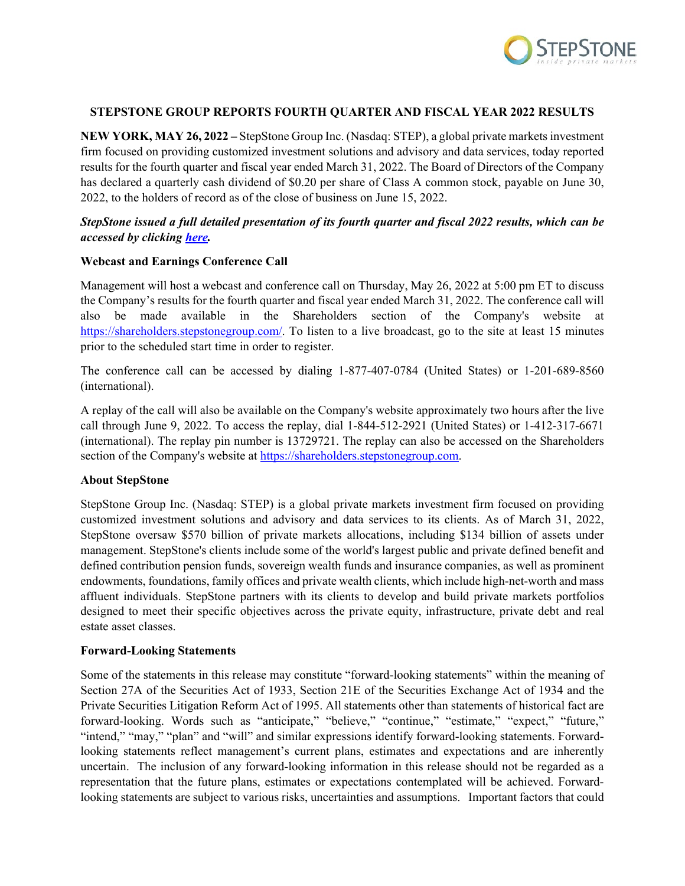

## **STEPSTONE GROUP REPORTS FOURTH QUARTER AND FISCAL YEAR 2022 RESULTS**

**NEW YORK, MAY 26, 2022 –** StepStone Group Inc. (Nasdaq: STEP), a global private markets investment firm focused on providing customized investment solutions and advisory and data services, today reported results for the fourth quarter and fiscal year ended March 31, 2022. The Board of Directors of the Company has declared a quarterly cash dividend of \$0.20 per share of Class A common stock, payable on June 30, 2022, to the holders of record as of the close of business on June 15, 2022.

# *StepStone issued a full detailed presentation of its fourth quarter and fiscal 2022 results, which can be accessed by clicking [here.](https://shareholders.stepstonegroup.com/financial-information/financial-results)*

## **Webcast and Earnings Conference Call**

Management will host a webcast and conference call on Thursday, May 26, 2022 at 5:00 pm ET to discuss the Company's results for the fourth quarter and fiscal year ended March 31, 2022. The conference call will also be made available in the Shareholders section of the Company's website at [https://shareholders.stepstonegroup.com/.](https://shareholders.stepstonegroup.com/) To listen to a live broadcast, go to the site at least 15 minutes prior to the scheduled start time in order to register.

The conference call can be accessed by dialing 1-877-407-0784 (United States) or 1-201-689-8560 (international).

A replay of the call will also be available on the Company's website approximately two hours after the live call through June 9, 2022. To access the replay, dial 1-844-512-2921 (United States) or 1-412-317-6671 (international). The replay pin number is 13729721. The replay can also be accessed on the Shareholders section of the Company's website at [https://shareholders.stepstonegroup.com.](https://shareholders.stepstonegroup.com/)

#### **About StepStone**

StepStone Group Inc. (Nasdaq: STEP) is a global private markets investment firm focused on providing customized investment solutions and advisory and data services to its clients. As of March 31, 2022, StepStone oversaw \$570 billion of private markets allocations, including \$134 billion of assets under management. StepStone's clients include some of the world's largest public and private defined benefit and defined contribution pension funds, sovereign wealth funds and insurance companies, as well as prominent endowments, foundations, family offices and private wealth clients, which include high-net-worth and mass affluent individuals. StepStone partners with its clients to develop and build private markets portfolios designed to meet their specific objectives across the private equity, infrastructure, private debt and real estate asset classes.

#### **Forward-Looking Statements**

Some of the statements in this release may constitute "forward-looking statements" within the meaning of Section 27A of the Securities Act of 1933, Section 21E of the Securities Exchange Act of 1934 and the Private Securities Litigation Reform Act of 1995. All statements other than statements of historical fact are forward-looking. Words such as "anticipate," "believe," "continue," "estimate," "expect," "future," "intend," "may," "plan" and "will" and similar expressions identify forward-looking statements. Forwardlooking statements reflect management's current plans, estimates and expectations and are inherently uncertain. The inclusion of any forward-looking information in this release should not be regarded as a representation that the future plans, estimates or expectations contemplated will be achieved. Forwardlooking statements are subject to various risks, uncertainties and assumptions. Important factors that could